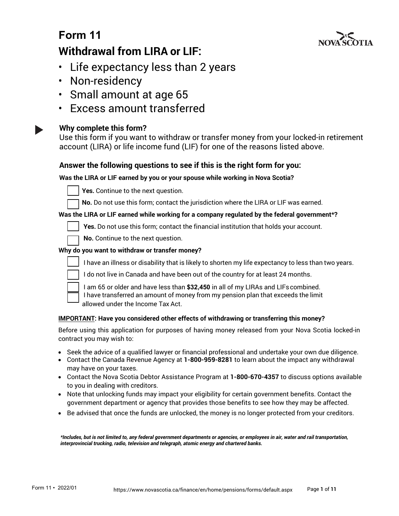

# **Form 11 Withdrawal from LIRA or LIF:**

- Life expectancy less than 2 years
- Non-residency
- Small amount at age 65
- Excess amount transferred

### **Why complete this form?**

Use this form if you want to withdraw or transfer money from your locked-in retirement account (LIRA) or life income fund (LIF) for one of the reasons listed above.

### **Answer the following questions to see if this is the right form for you:**

### **Was the LIRA or LIF earned by you or your spouse while working in Nova Scotia?**



Yes. Continue to the next question.

No. Do not use this form; contact the jurisdiction where the LIRA or LIF was earned.

#### **Was the LIRA or LIF earned while working for a company regulated by the federal government\*?**

Yes. Do not use this form; contact the financial institution that holds your account.

No. Continue to the next question.

### **Why do you want to withdraw or transfer money?**



I have an illness or disability that is likely to shorten my life expectancy to less than two years.

I do not live in Canada and have been out of the country for at least 24 months.



☐ I am 65 or older and have less than **\$32,450** in all of my LIRAs and LIFscombined. ☐ I have transferred an amount of money from my pension plan that exceeds the limit allowed under the Income Tax Act.

#### **IMPORTANT: Have you considered other effects of withdrawing or transferring this money?**

Before using this application for purposes of having money released from your Nova Scotia locked-in contract you may wish to:

- Seek the advice of a qualified lawyer or financial professional and undertake your own due diligence.
- Contact the Canada Revenue Agency at **1-800-959-8281** to learn about the impact any withdrawal may have on your taxes.
- Contact the Nova Scotia Debtor Assistance Program at **1-800-670-4357** to discuss options available to you in dealing with creditors.
- Note that unlocking funds may impact your eligibility for certain government benefits. Contact the government department or agency that provides those benefits to see how they may be affected.
- Be advised that once the funds are unlocked, the money is no longer protected from your creditors.

*\*Includes, but is not limited to, any federal government departments or agencies, or employees in air, water and rail transportation, interprovincial trucking, radio, television and telegraph, atomic energy and chartered banks.*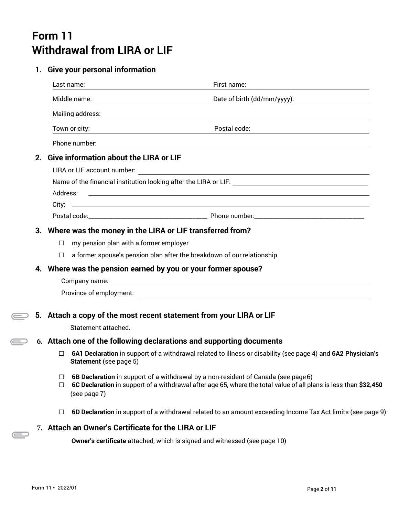# **Form 11 Withdrawal from LIRA or LIF**

### **1. Give your personal information**

|    |                                                               | Last name:                                                                                         | First name:                                                                                                      |  |  |  |  |
|----|---------------------------------------------------------------|----------------------------------------------------------------------------------------------------|------------------------------------------------------------------------------------------------------------------|--|--|--|--|
|    |                                                               | Middle name:                                                                                       | Date of birth (dd/mm/yyyy):                                                                                      |  |  |  |  |
|    |                                                               | Mailing address:                                                                                   | <u> 1989 - John Stein, amerikansk politiker (* 1989)</u>                                                         |  |  |  |  |
|    |                                                               | Town or city:                                                                                      | Postal code:                                                                                                     |  |  |  |  |
|    |                                                               | Phone number:                                                                                      |                                                                                                                  |  |  |  |  |
| 2. |                                                               | <b>Give information about the LIRA or LIF</b>                                                      |                                                                                                                  |  |  |  |  |
|    |                                                               | LIRA or LIF account number:                                                                        |                                                                                                                  |  |  |  |  |
|    |                                                               |                                                                                                    |                                                                                                                  |  |  |  |  |
|    | Address:                                                      | <u> 1989 - Johann Stoff, Amerikaansk politiker († 1908)</u>                                        |                                                                                                                  |  |  |  |  |
|    |                                                               |                                                                                                    |                                                                                                                  |  |  |  |  |
|    |                                                               |                                                                                                    |                                                                                                                  |  |  |  |  |
|    |                                                               | 3. Where was the money in the LIRA or LIF transferred from?                                        |                                                                                                                  |  |  |  |  |
|    | $\Box$                                                        | my pension plan with a former employer                                                             |                                                                                                                  |  |  |  |  |
|    | $\Box$                                                        | a former spouse's pension plan after the breakdown of our relationship                             |                                                                                                                  |  |  |  |  |
|    | 4. Where was the pension earned by you or your former spouse? |                                                                                                    |                                                                                                                  |  |  |  |  |
|    |                                                               | Company name:                                                                                      | <u> 1989 - Johann Stoff, amerikansk politiker (d. 1989)</u>                                                      |  |  |  |  |
|    |                                                               | Province of employment:                                                                            | <u> 1989 - Johann Stein, mars an de Britannich (b. 1989)</u>                                                     |  |  |  |  |
|    |                                                               |                                                                                                    |                                                                                                                  |  |  |  |  |
|    |                                                               | 5. Attach a copy of the most recent statement from your LIRA or LIF                                |                                                                                                                  |  |  |  |  |
|    |                                                               | Statement attached.                                                                                |                                                                                                                  |  |  |  |  |
|    |                                                               | 6. Attach one of the following declarations and supporting documents                               |                                                                                                                  |  |  |  |  |
|    | П                                                             | Statement (see page 5)                                                                             | 6A1 Declaration in support of a withdrawal related to illness or disability (see page 4) and 6A2 Physician's     |  |  |  |  |
|    | ⊔<br>$\Box$                                                   | 6B Declaration in support of a withdrawal by a non-resident of Canada (see page 6)<br>(see page 7) | 6C Declaration in support of a withdrawal after age 65, where the total value of all plans is less than \$32,450 |  |  |  |  |
|    | □                                                             |                                                                                                    | 6D Declaration in support of a withdrawal related to an amount exceeding Income Tax Act limits (see page 9)      |  |  |  |  |
|    |                                                               | 7. Attach an Owner's Certificate for the LIRA or LIF                                               |                                                                                                                  |  |  |  |  |
|    |                                                               |                                                                                                    |                                                                                                                  |  |  |  |  |

**Owner's certificate** attached, which is signed and witnessed (see page 10)

 $\bigoplus$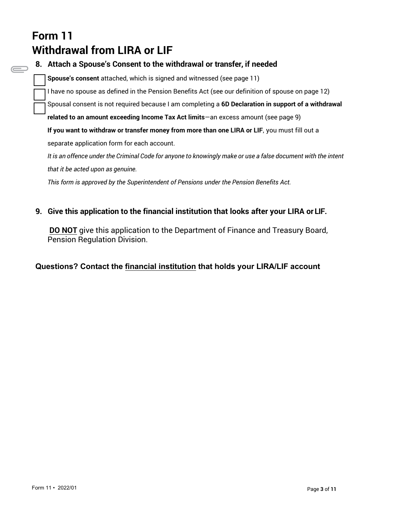# **Form 11 Withdrawal from LIRA or LIF**

**8. Attach a Spouse's Consent to the withdrawal or transfer, if needed Spouse's consent** attached, which is signed and witnessed (see page 11) I have no spouse as defined in the Pension Benefits Act (see our definition of spouse on page 12) Spousal consent is not required because I am completing a **6D Declaration in support of a withdrawal related to an amount exceeding Income Tax Act limits**—an excess amount (see page 9) **If you want to withdraw or transfer money from more than one LIRA or LIF**, you must fill out a separate application form for each account. It is an offence under the Criminal Code for anyone to knowingly make or use a false document with the intent *that it be acted upon as genuine. This form is approved by the Superintendent of Pensions under the Pension Benefits Act.*

### **9. Give this application to the financial institution that looks after your LIRA or LIF.**

**DO NOT** give this application to the Department of Finance and Treasury Board, Pension Regulation Division.

### **Questions? Contact the financial institution that holds your LIRA/LIF account**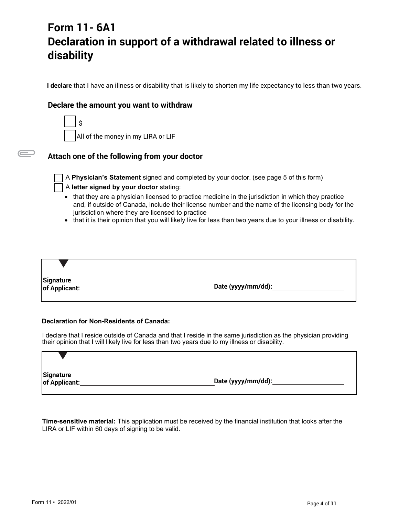# **Form 11- 6A1 Declaration in support of a withdrawal related to illness or disability**

**I declare** that I have an illness or disability that is likely to shorten my life expectancy to less than two years.

#### **Declare the amount you want to withdraw**



### **Attach one of the following from your doctor**

 $\equiv$ 

☐ A **Physician's Statement** signed and completed by your doctor. (see page 5 of this form)

#### ☐ A **letter signed by your doctor** stating:

- that they are a physician licensed to practice medicine in the jurisdiction in which they practice and, if outside of Canada, include their license number and the name of the licensing body for the jurisdiction where they are licensed to practice
- that it is their opinion that you will likely live for less than two years due to your illness or disability.

**Signature of Applicant: Date (yyyy/mm/dd):**

#### **Declaration for Non-Residents of Canada:**

I declare that I reside outside of Canada and that I reside in the same jurisdiction as the physician providing their opinion that I will likely live for less than two years due to my illness or disability.

| Signature<br>of Applicant: | Date (yyyy/mm/dd): |  |
|----------------------------|--------------------|--|

**Time-sensitive material:** This application must be received by the financial institution that looks after the LIRA or LIF within 60 days of signing to be valid.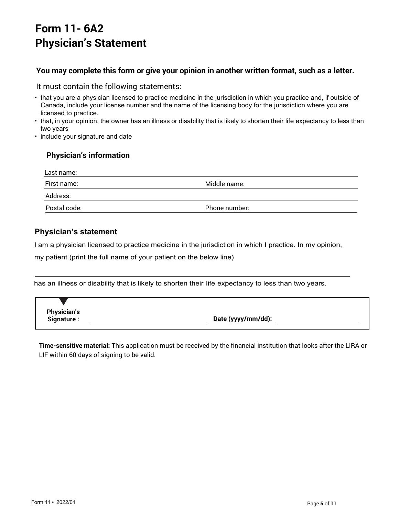# **Form 11- 6A2 Physician's Statement**

### **You may complete this form or give your opinion in another written format, such as a letter.**

#### It must contain the following statements:

- that you are a physician licensed to practice medicine in the jurisdiction in which you practice and, if outside of Canada, include your license number and the name of the licensing body for the jurisdiction where you are licensed to practice.
- that, in your opinion, the owner has an illness or disability that is likely to shorten their life expectancy to less than two years
- include your signature and date

### **Physician's information**

| Last name:   |               |
|--------------|---------------|
| First name:  | Middle name:  |
| Address:     |               |
| Postal code: | Phone number: |

### **Physician's statement**

I am a physician licensed to practice medicine in the jurisdiction in which I practice. In my opinion,

my patient (print the full name of your patient on the below line)

has an illness or disability that is likely to shorten their life expectancy to less than two years.

**Physician's**

**Signature : Date (yyyy/mm/dd):** 

**Time-sensitive material:** This application must be received by the financial institution that looks after the LIRA or LIF within 60 days of signing to be valid.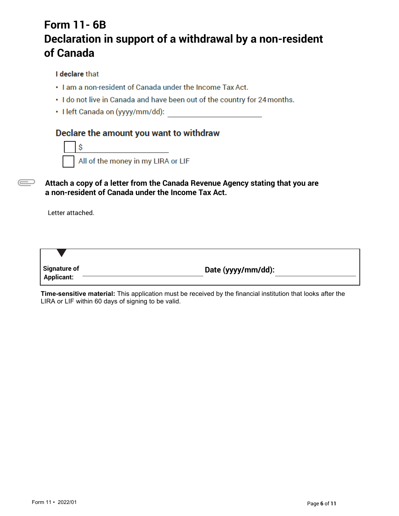# **Form 11- 6B Declaration in support of a withdrawal by a non-resident of Canada**

### I declare that

- . I am a non-resident of Canada under the Income Tax Act.
- . I do not live in Canada and have been out of the country for 24 months.
- · I left Canada on (yyyy/mm/dd):

### Declare the amount you want to withdraw



**Attach a copy of a letter from the Canada Revenue Agency stating that you are a non-resident of Canada under the Income Tax Act.** 

Letter attached.

 $\overline{\phantom{a}}$ 

| <b>Signature of</b><br><b>Applicant:</b> | Date (yyyy/mm/dd): |
|------------------------------------------|--------------------|

**Time-sensitive material:** This application must be received by the financial institution that looks after the LIRA or LIF within 60 days of signing to be valid.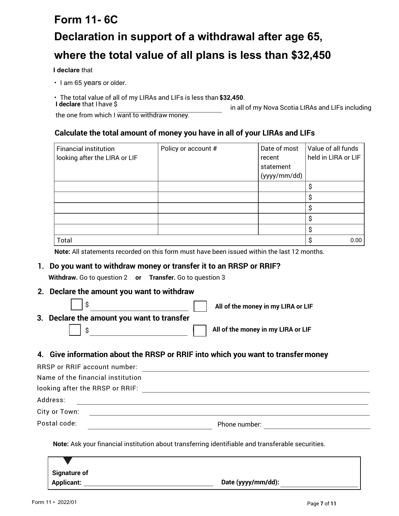# **Form 11- 6C Declaration in support of a withdrawal after age 65, where the total value of all plans is less than \$32,450**

**I declare** that

- I am 65 years or older.
- The total value of all of my LIRAs and LIFs is less than **\$32,450**.
- 

in all of my Nova Scotia LIRAs and LIFs including

the one from which I want to withdraw money.

### **Calculate the total amount of money you have in all of your LIRAs and LIFs**

| <b>Financial institution</b>  | Policy or account # | Date of most | Value of all funds  |
|-------------------------------|---------------------|--------------|---------------------|
| looking after the LIRA or LIF |                     | recent       | held in LIRA or LIF |
|                               |                     | statement    |                     |
|                               |                     | (yyyy/mm/dd) |                     |
|                               |                     |              | S                   |
|                               |                     |              | S                   |
|                               |                     |              | \$                  |
|                               |                     |              | S                   |
|                               |                     |              | \$                  |
| Total                         |                     |              | 0.00<br>S           |

**Note:** All statements recorded on this form must have been issued within the last 12 months.

### **1. Do you want to withdraw money or transfer it to an RRSP or RRIF?**

**Withdraw.** Go to question 2 **or Transfer.** Go to question 3

**2. Declare the amount you want to withdraw**

|                                            | All of the money in my LIRA or LIF |
|--------------------------------------------|------------------------------------|
| 3. Declare the amount you want to transfer |                                    |
|                                            | All of the money in my LIRA or LIF |

### **4. Give information about the RRSP or RRIF into which you want to transfermoney**

| RRSP or RRIF account number:      |               |
|-----------------------------------|---------------|
| Name of the financial institution |               |
| looking after the RRSP or RRIF:   |               |
| Address:                          |               |
| City or Town:                     |               |
| Postal code:                      | Phone number: |

**Note:** Ask your financial institution about transferring identifiable and transferable securities.

| <b>Signature of</b> |                    |
|---------------------|--------------------|
| <b>Applicant:</b>   | Date (yyyy/mm/dd): |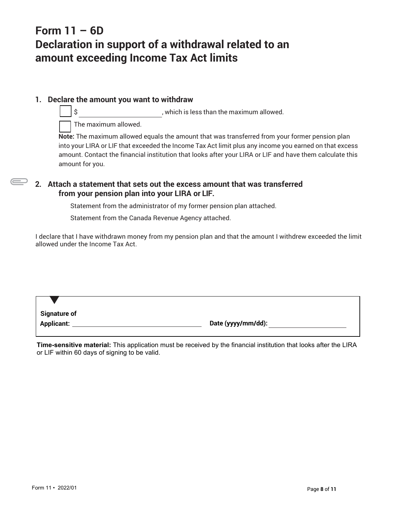# **Form 11 – 6D Declaration in support of a withdrawal related to an amount exceeding Income Tax Act limits**

### **1. Declare the amount you want to withdraw**

\$ , which is less than the maximum allowed.

The maximum allowed.

**Note:** The maximum allowed equals the amount that was transferred from your former pension plan into your LIRA or LIF that exceeded the Income Tax Act limit plus any income you earned on that excess amount. Contact the financial institution that looks after your LIRA or LIF and have them calculate this amount for you.

### **2. Attach a statement that sets out the excess amount that was transferred from your pension plan into your LIRA or LIF.**

Statement from the administrator of my former pension plan attached.

Statement from the Canada Revenue Agency attached.

I declare that I have withdrawn money from my pension plan and that the amount I withdrew exceeded the limit allowed under the Income Tax Act.

**Applicant: Date (yyyy/mm/dd):**

**Time-sensitive material:** This application must be received by the financial institution that looks after the LIRA or LIF within 60 days of signing to be valid.

**Signature of**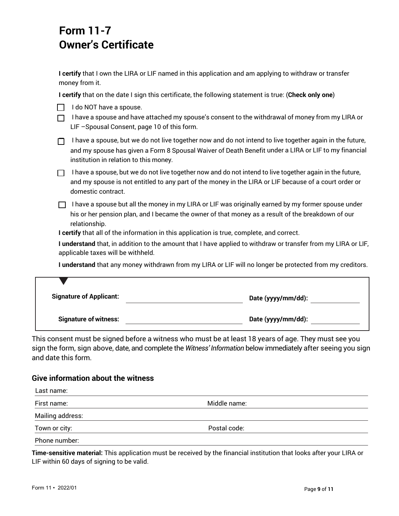### **Form 11-7 Owner's Certificate**

**I certify** that I own the LIRA or LIF named in this application and am applying to withdraw or transfer money from it.

**I certify** that on the date I sign this certificate, the following statement is true: (**Check only one**)

| I do NOT have a spouse. |
|-------------------------|
|                         |

 $\Box$  I have a spouse and have attached my spouse's consent to the withdrawal of money from my LIRA or LIF –Spousal Consent, page 10 of this form.

| I have a spouse, but we do not live together now and do not intend to live together again in the future, |
|----------------------------------------------------------------------------------------------------------|
| and my spouse has given a Form 8 Spousal Waiver of Death Benefit under a LIRA or LIF to my financial     |
| institution in relation to this money.                                                                   |

 $\Box$  I have a spouse, but we do not live together now and do not intend to live together again in the future, and my spouse is not entitled to any part of the money in the LIRA or LIF because of a court order or domestic contract.

 $\Box$  I have a spouse but all the money in my LIRA or LIF was originally earned by my former spouse under his or her pension plan, and I became the owner of that money as a result of the breakdown of our relationship.

**I certify** that all of the information in this application is true, complete, and correct.

**I understand** that, in addition to the amount that I have applied to withdraw or transfer from my LIRA or LIF, applicable taxes will be withheld.

**I understand** that any money withdrawn from my LIRA or LIF will no longer be protected from my creditors.

| <b>Signature of Applicant:</b> | Date (yyyy/mm/dd): |
|--------------------------------|--------------------|
| <b>Signature of witness:</b>   | Date (yyyy/mm/dd): |

This consent must be signed before a witness who must be at least 18 years of age. They must see you sign the form, sign above, date, and complete the *Witness' Information* below immediately after seeing you sign and date this form.

#### **Give information about the witness**

| Last name:       |              |  |
|------------------|--------------|--|
| First name:      | Middle name: |  |
| Mailing address: |              |  |
| Town or city:    | Postal code: |  |
| Phone number:    |              |  |

**Time-sensitive material:** This application must be received by the financial institution that looks after your LIRA or LIF within 60 days of signing to be valid.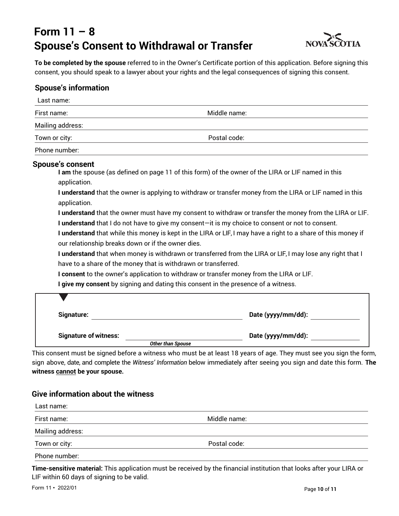# **Form 11 – 8 Spouse's Consent to Withdrawal or Transfer**



**To be completed by the spouse** referred to in the Owner's Certificate portion of this application. Before signing this consent, you should speak to a lawyer about your rights and the legal consequences of signing this consent.

### **Spouse's information**

| Last name:                                                                                             |                                                                                                                                                                                                                                                                                                                                                                                                                                                                                                                                                                                                                                                                                                                                                                                                                                                                                                                   |
|--------------------------------------------------------------------------------------------------------|-------------------------------------------------------------------------------------------------------------------------------------------------------------------------------------------------------------------------------------------------------------------------------------------------------------------------------------------------------------------------------------------------------------------------------------------------------------------------------------------------------------------------------------------------------------------------------------------------------------------------------------------------------------------------------------------------------------------------------------------------------------------------------------------------------------------------------------------------------------------------------------------------------------------|
| First name:                                                                                            | Middle name:                                                                                                                                                                                                                                                                                                                                                                                                                                                                                                                                                                                                                                                                                                                                                                                                                                                                                                      |
| Mailing address:                                                                                       |                                                                                                                                                                                                                                                                                                                                                                                                                                                                                                                                                                                                                                                                                                                                                                                                                                                                                                                   |
| Town or city:                                                                                          | Postal code:                                                                                                                                                                                                                                                                                                                                                                                                                                                                                                                                                                                                                                                                                                                                                                                                                                                                                                      |
| Phone number:                                                                                          |                                                                                                                                                                                                                                                                                                                                                                                                                                                                                                                                                                                                                                                                                                                                                                                                                                                                                                                   |
| Spouse's consent<br>application.<br>application.<br>our relationship breaks down or if the owner dies. | I am the spouse (as defined on page 11 of this form) of the owner of the LIRA or LIF named in this<br>I understand that the owner is applying to withdraw or transfer money from the LIRA or LIF named in this<br>I understand that the owner must have my consent to withdraw or transfer the money from the LIRA or LIF.<br>I understand that I do not have to give my consent-it is my choice to consent or not to consent.<br>I understand that while this money is kept in the LIRA or LIF, I may have a right to a share of this money if<br>I understand that when money is withdrawn or transferred from the LIRA or LIF, I may lose any right that I<br>have to a share of the money that is withdrawn or transferred.<br>I consent to the owner's application to withdraw or transfer money from the LIRA or LIF.<br>I give my consent by signing and dating this consent in the presence of a witness. |
| Signature:                                                                                             | Date (yyyy/mm/dd):                                                                                                                                                                                                                                                                                                                                                                                                                                                                                                                                                                                                                                                                                                                                                                                                                                                                                                |
| <b>Signature of witness:</b>                                                                           | Date (yyyy/mm/dd):<br><b>Other than Spouse</b>                                                                                                                                                                                                                                                                                                                                                                                                                                                                                                                                                                                                                                                                                                                                                                                                                                                                    |

This consent must be signed before a witness who must be at least 18 years of age. They must see you sign the form, sign above, date, and complete the *Witness' Information* below immediately after seeing you sign and date this form. **The witness cannot be your spouse.** 

### **Give information about the witness**

| Last name:       |              |  |
|------------------|--------------|--|
| First name:      | Middle name: |  |
| Mailing address: |              |  |
| Town or city:    | Postal code: |  |
| Phone number:    |              |  |

**Time-sensitive material:** This application must be received by the financial institution that looks after your LIRA or LIF within 60 days of signing to be valid.